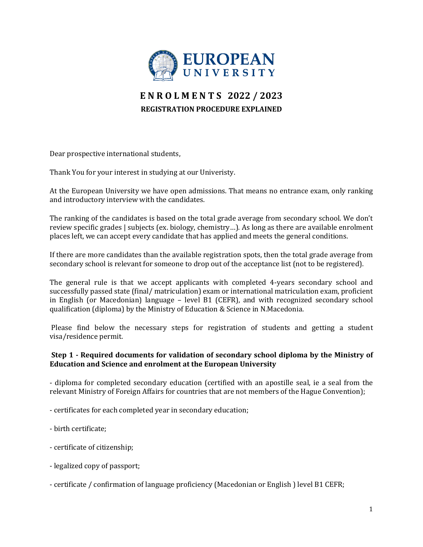

# **E N R O L M E N T S 2022 / 2023 REGISTRATION PROCEDURE EXPLAINED**

Dear prospective international students,

Thank You for your interest in studying at our Univeristy.

At the European University we have open admissions. That means no entrance exam, only ranking and introductory interview with the candidates.

The ranking of the candidates is based on the total grade average from secondary school. We don't review specific grades | subjects (ex. biology, chemistry…). As long as there are available enrolment places left, we can accept every candidate that has applied and meets the general conditions.

If there are more candidates than the available registration spots, then the total grade average from secondary school is relevant for someone to drop out of the acceptance list (not to be registered).

The general rule is that we accept applicants with completed 4-years secondary school and successfully passed state (final/ matriculation) exam or international matriculation exam, proficient in English (or Macedonian) language – level B1 (CEFR), and with recognized secondary school qualification (diploma) by the Ministry of Education & Science in N.Macedonia.

Please find below the necessary steps for registration of students and getting a student visa/residence permit.

### **Step 1 - Required documents for validation of secondary school diploma by the Ministry of Education and Science and enrolment at the European University**

- diploma for completed secondary education (certified with an apostille seal, ie a seal from the relevant Ministry of Foreign Affairs for countries that are not members of the Hague Convention);

- certificates for each completed year in secondary education;

- birth certificate;

- certificate of citizenship;

- legalized copy of passport;

- certificate / confirmation of language proficiency (Macedonian or English ) level B1 CEFR;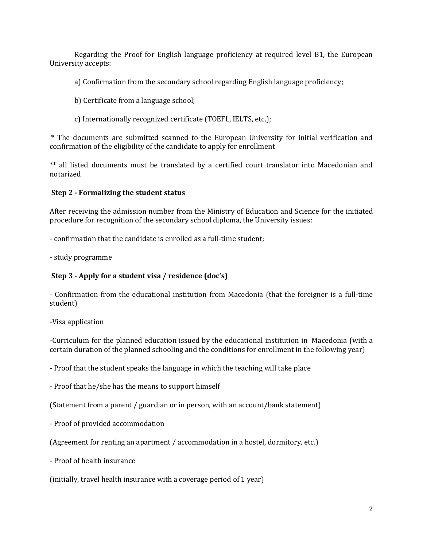Regarding the Proof for English language proficiency at required level B1, the European University accepts:

a) Confirmation from the secondary school regarding English language proficiency;

- b) Certificate from a language school;
- c) Internationally recognized certificate (TOEFL, IELTS, etc.);

\* The documents are submitted scanned to the European University for initial verification and confirmation of the eligibility of the candidate to apply for enrollment

\*\* all listed documents must be translated by a certified court translator into Macedonian and notarized

#### **Step 2 - Formalizing the student status**

After receiving the admission number from the Ministry of Education and Science for the initiated procedure for recognition of the secondary school diploma, the University issues:

- confirmation that the candidate is enrolled as a full-time student;

- study programme

## **Step 3 - Apply for a student visa / residence (doc's)**

- Confirmation from the educational institution from Macedonia (that the foreigner is a full-time student)

-Visa application

-Curriculum for the planned education issued by the educational institution in Macedonia (with a certain duration of the planned schooling and the conditions for enrollment in the following year)

- Proof that the student speaks the language in which the teaching will take place

- Proof that he/she has the means to support himself

(Statement from a parent / guardian or in person, with an account/bank statement)

- Proof of provided accommodation

(Agreement for renting an apartment / accommodation in a hostel, dormitory, etc.)

- Proof of health insurance

(initially, travel health insurance with a coverage period of 1 year)